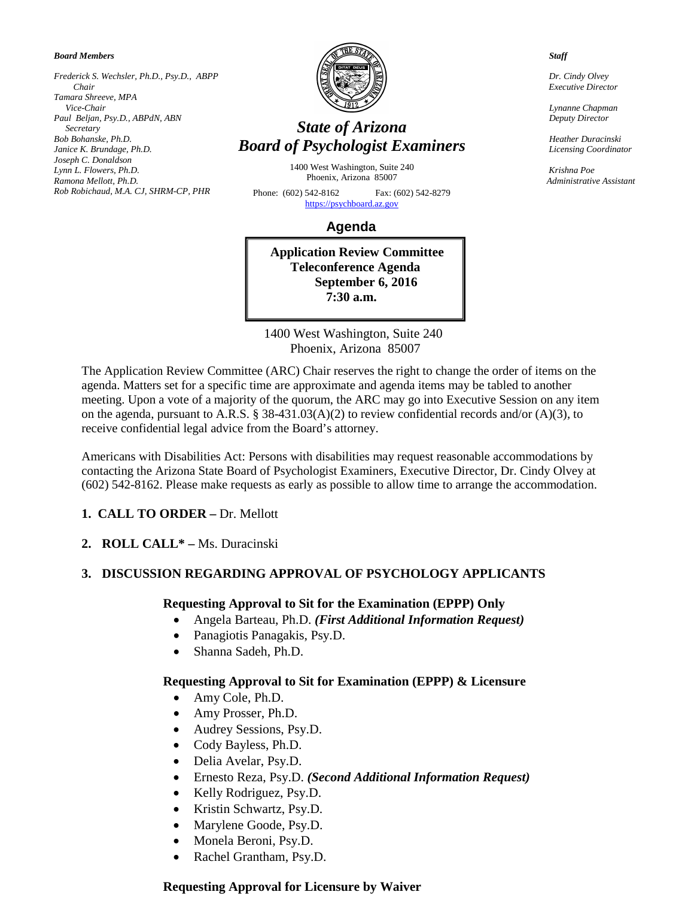*Board Members*

*Frederick S. Wechsler, Ph.D., Psy.D., ABPP Chair Tamara Shreeve, MPA Vice-Chair Paul Beljan, Psy.D., ABPdN, ABN Secretary Bob Bohanske, Ph.D. Janice K. Brundage, Ph.D. Joseph C. Donaldson Lynn L. Flowers, Ph.D. Ramona Mellott, Ph.D. Rob Robichaud, M.A. CJ, SHRM-CP, PHR* 



# *State of Arizona Board of Psychologist Examiners*

1400 West Washington, Suite 240 Phoenix, Arizona 85007

Phone: (602) 542-8162 Fax: (602) 542-8279 [https://psychboard.az.gov](https://psychboard.az.gov/) 

# **Agenda**

**Application Review Committee Teleconference Agenda September 6, 2016 7:30 a.m.**

 1400 West Washington, Suite 240 Phoenix, Arizona 85007

The Application Review Committee (ARC) Chair reserves the right to change the order of items on the agenda. Matters set for a specific time are approximate and agenda items may be tabled to another meeting. Upon a vote of a majority of the quorum, the ARC may go into Executive Session on any item on the agenda, pursuant to A.R.S. § 38-431.03(A)(2) to review confidential records and/or (A)(3), to receive confidential legal advice from the Board's attorney.

Americans with Disabilities Act: Persons with disabilities may request reasonable accommodations by contacting the Arizona State Board of Psychologist Examiners, Executive Director, Dr. Cindy Olvey at (602) 542-8162. Please make requests as early as possible to allow time to arrange the accommodation.

## **1. CALL TO ORDER –** Dr. Mellott

**2. ROLL CALL\* –** Ms. Duracinski

## **3. DISCUSSION REGARDING APPROVAL OF PSYCHOLOGY APPLICANTS**

## **Requesting Approval to Sit for the Examination (EPPP) Only**

- Angela Barteau, Ph.D. *(First Additional Information Request)*
- Panagiotis Panagakis, Psy.D.
- Shanna Sadeh, Ph.D.

## **Requesting Approval to Sit for Examination (EPPP) & Licensure**

- Amy Cole, Ph.D.
- Amy Prosser, Ph.D.
- Audrey Sessions, Psy.D.
- Cody Bayless, Ph.D.
- Delia Avelar, Psy.D.
- Ernesto Reza, Psy.D. *(Second Additional Information Request)*
- Kelly Rodriguez, Psy.D.
- Kristin Schwartz, Psy.D.
- Marylene Goode, Psy.D.
- Monela Beroni, Psy.D.
- Rachel Grantham, Psy.D.

## **Requesting Approval for Licensure by Waiver**

 *Staff*

 *Dr. Cindy Olvey Executive Director*

 *Lynanne Chapman Deputy Director*

 *Heather Duracinski Licensing Coordinator*

 *Krishna Poe Administrative Assistant*